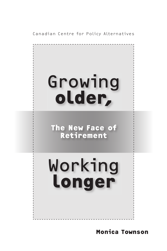Canadian Centre for Policy Alternatives



**The New Face of Retirement**

# Working **longer**

**Monica Townson**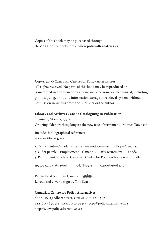Copies of this book may be purchased through the ccpa online bookstore at **www.policyalternatives.ca**.

#### **Copyright © Canadian Centre for Policy Alternatives**

All rights reserved. No parts of this book may be reproduced or transmitted in any form or by any means, electronic or mechanical, including photocopying, or by any information storage or retrieval system, without permission in writing from the publisher or the author.

#### **Library and Archives Canada Cataloguing in Publication**

Townson, Monica, 1932– Growing older, working longer : the new face of retirement / Monica Townson.

Includes bibliographical references. ISBN 0-88627-473-7

1. Retirement—Canada. 2. Retirement—Government policy—Canada.

3. Older people—Employment—Canada. 4. Early retirement—Canada.

5. Pensions—Canada. I. Canadian Centre for Policy Alternatives II. Title.

HQ1063.2.C3T69 2006 306.3'8'0971 C2006-900811-6

Printed and bound in Canada.  $\frac{CAW + 567}{CVTTAMA}$ Layout and cover design by Tim Scarth.

#### **Canadian Centre for Policy Alternatives**

Suite 410, 75 Albert Street, Ottawa, ON K1P 5E7 tel 613 563-1341 fax 613 233-1453 ccpa@policyalternatives.ca http://www.policyalternatives.ca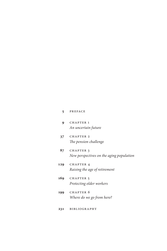| 5   | <b>PREFACE</b>                                           |
|-----|----------------------------------------------------------|
| 9   | CHAPTER 1<br>An uncertain future                         |
| 37  | CHAPTER 2<br>The pension challenge                       |
|     | 87 CHAPTER 3<br>New perspectives on the aging population |
|     | 129 CHAPTER 4<br>Raising the age of retirement           |
| 169 | CHAPTER 5<br>Protecting older workers                    |
| 199 | CHAPTER 6<br>Where do we go from here?                   |
|     |                                                          |

Bibliography **231**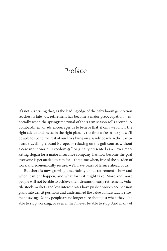# Preface

It's not surprising that, as the leading edge of the baby boom generation reaches its late 50s, retirement has become a major preoccupation—especially when the springtime ritual of the RRSP season rolls around. A bombardment of ads encourages us to believe that, if only we follow the right advice and invest in the right plan, by the time we're in our 50s we'll be able to spend the rest of our lives lying on a sandy beach in the Caribbean, travelling around Europe, or relaxing on the golf course, without a care in the world. "Freedom 55," originally presented as a clever marketing slogan for a major insurance company, has now become the goal everyone is persuaded to aim for—that time when, free of the burden of work and economically secure, we'll have years of leisure ahead of us.

But there is now growing uncertainty about retirement—how and when it might happen, and what form it might take. More and more people will not be able to achieve their dreams of early retirement. Volatile stock markets and low interest rates have pushed workplace pension plans into deficit positions and undermined the value of individual retirement savings. Many people are no longer sure about just when they'll be able to stop working, or even if they'll ever be able to stop. And many of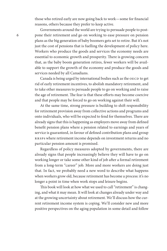those who retired early are now going back to work—some for financial reasons, others because they prefer to keep active.

Governments around the world are trying to persuade people to postpone their retirement and go on working to ease pressure on pension plans as the big generation of baby boomers gets set to retire. But it's not just the cost of pensions that is fuelling the development of policy here. Workers who produce the goods and services the economy needs are essential to economic growth and prosperity. There is growing concern that, as the baby boom generation retires, fewer workers will be available to support the growth of the economy and produce the goods and services needed by all Canadians.

Canada is being urged by international bodies such as the OECD to get rid of early retirement incentives, to abolish mandatory retirement, and to take other measures to persuade people to go on working and to raise the age of retirement. The fear is that these efforts may become coercive and that people may be forced to go on working against their will.

At the same time, strong pressure is building to shift responsibility for retirement provision away from collective actions and programs and onto individuals, who will be expected to fend for themselves. There are already signs that this is happening as employers move away from defined benefit pension plans where a pension related to earnings and years of service is guaranteed, in favour of defined contribution plans and group RRSPs where retirement income depends on investment returns and no particular pension amount is promised.

Regardless of policy measures adopted by governments, there are already signs that people increasingly believe they will have to go on working longer or take some other kind of job after a formal retirement from a long-term "career" job. More and more workers are doing just that. In fact, we probably need a new word to describe what happens when workers grow old, because retirement has become a process: it's no longer a point in time when work stops and leisure begins.

This book will look at how what we used to call "retirement" is changing, and what it may mean. It will look at changes already under way and at the growing uncertainty about retirement. We'll discuss how the current retirement income system is coping. We'll consider new and more positive perspectives on the aging population in some detail and follow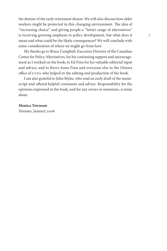the demise of the early retirement dream. We will also discuss how older workers might be protected in this changing environment. The idea of "increasing choice" and giving people a "better range of alternatives" is receiving growing emphasis in policy development, but what does it mean and what could be the likely consequences? We will conclude with some consideration of where we might go from here.

My thanks go to Bruce Campbell, Executive Director of the Canadian Centre for Policy Alternatives, for his continuing support and encouragement as I worked on the book; to Ed Finn for his valuable editorial input and advice; and to Kerri-Anne Finn and everyone else in the Ottawa office of CCPA who helped in the editing and production of the book.

I am also grateful to John Myles, who read an early draft of the manuscript and offered helpful comments and advice. Responsibility for the opinions expressed in the book, and for any errors or omissions, is mine alone.

## **Monica Townson**

Toronto, January 2006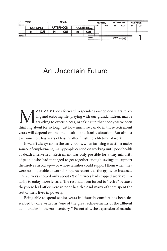|             | Year: |                |   | Month:           |   |                        |  | <b>MORNING</b> |     | <b>AFTERNOON</b> |   | <b>OVERTIME</b> |  |
|-------------|-------|----------------|---|------------------|---|------------------------|--|----------------|-----|------------------|---|-----------------|--|
|             |       | <b>MORNING</b> |   | <b>AFTERNOON</b> |   | OVERTIME <sub>ON</sub> |  | OυT            | N   | OυT              | N | OUT             |  |
|             |       | OυT            | N | ουт              | N |                        |  |                |     |                  |   |                 |  |
| <b>MONE</b> |       |                |   |                  |   | <b>WED</b>             |  |                | 257 | 652              |   |                 |  |
|             |       |                |   |                  |   |                        |  |                |     |                  |   |                 |  |

# An Uncertain Future

**M** OST OF US look forward to spending our golden years relax-<br>ing and enjoying life, playing with our grandchildren, maybe<br>traveling to exotic places, or taking up that hobby we've been<br>thinking about for so long. Just ho ing and enjoying life, playing with our grandchildren, maybe traveling to exotic places, or taking up that hobby we've been thinking about for so long. Just how much we can do in those retirement years will depend on income, health, and family situation. But almost everyone now has years of leisure after finishing a lifetime of work.

It wasn't always so. In the early 1900s, when farming was still a major source of employment, many people carried on working until poor health or death intervened.<sup>1</sup> Retirement was only possible for a tiny minority of people who had managed to get together enough savings to support themselves in old age-or whose families could support them when they were no longer able to work for pay. As recently as the 1950s, for instance, U.S. surveys showed only about 5% of retirees had stopped work voluntarily to enjoy more leisure. The rest had been forced to "retire" because they were laid off or were in poor health.<sup>2</sup> And many of them spent the rest of their lives in poverty.

Being able to spend senior years in leisurely comfort has been described by one writer as "one of the great achievements of the affluent democracies in the 20th century." <sup>3</sup> Essentially, the expansion of manda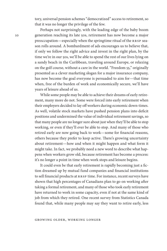tory, universal pension schemes "democratized" access to retirement, so that it was no longer the privilege of the few.

Perhaps not surprisingly, with the leading edge of the baby boom generation reaching its late 50s, retirement has now become a major preoccupation—especially when the springtime ritual of the RRSP season rolls around. A bombardment of ads encourages us to believe that, if only we follow the right advice and invest in the right plan, by the time we're in our 50s, we'll be able to spend the rest of our lives lying on a sandy beach in the Caribbean, traveling around Europe, or relaxing on the golf course, without a care in the world. "Freedom 55," originally presented as a clever marketing slogan for a major insurance company, has now become the goal everyone is persuaded to aim for—that time when, free of the burden of work and economically secure, we'll have years of leisure ahead of us.

While some people may be able to achieve their dreams of early retirement, many more do not. Some were forced into early retirement when their employers decided to lay off workers during economic down-times. As well, volatile stock markets have pushed pension plans into deficit positions and undermined the value of individual retirement savings, so that many people are no longer sure about just when they'll be able to stop working, or even if they'll ever be able to stop. And many of those who retired early are now going back to work—some for financial reasons, others because they prefer to keep active. There's growing uncertainty about retirement—how and when it might happen and what form it might take. In fact, we probably need a new word to describe what happens when workers grow old, because retirement has become a process: it's no longer a point in time when work stops and leisure begins.

It could even be that early retirement is rapidly becoming just a fiction dreamed up by mutual fund companies and financial institutions to sell financial products at RRSP time. For instance, recent surveys have shown that high percentages of Canadians plan to go on working after taking a formal retirement, and many of those who took early retirement have returned to work in some capacity, even if not at the same kind of job from which they retired. One recent survey from Statistics Canada found that, while many people may say they want to retire early, less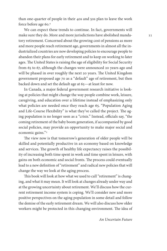than one-quarter of people in their 40s and 50s plan to leave the work force before age 60.<sup>4</sup>

We can expect these trends to continue. In fact, governments will make sure they do. More and more jurisdictions have abolished mandatory retirement. Concerned about the growing cost of pensions as more and more people reach retirement age, governments in almost all the industrialized countries are now developing policies to encourage people to abandon their plans for early retirement and to keep on working to later ages. The United States is raising the age of eligibility for Social Security from 65 to 67, although the changes were announced 20 years ago and will be phased in over roughly the next 20 years. The United Kingdom government proposed age 70 as a "default" age of retirement, but then backed down and set the default age at 65—at least for now.

In Canada, a major federal government research initiative is looking at policies that might change the way people combine work, leisure, caregiving, and education over a lifetime instead of emphasizing only what policies are needed once they reach age 65. "Population Aging and Life-Course Flexibility" is what they've called the project. The aging population is no longer seen as a "crisis." Instead, officials say, "the coming retirement of the baby boom generation, if accompanied by good social policies, may provide an opportunity to make major social and economic gains."<sup>5</sup>

The view now is that tomorrow's generation of older people will be skilled and potentially productive in an economy based on knowledge and services. The growth of healthy life expectancy raises the possibility of increasing both time spent in work and time spent in leisure, with gains on both economic and social fronts. The process could eventually lead to a new definition of "retirement" and radical new policies that will change the way we look at the aging process.

This book will look at how what we used to call "retirement" is changing, and what it may mean. It will look at changes already under way and at the growing uncertainty about retirement. We'll discuss how the current retirement income system is coping. We'll consider new and more positive perspectives on the aging population in some detail and follow the demise of the early retirement dream. We will also discuss how older workers might be protected in this changing environment. The idea of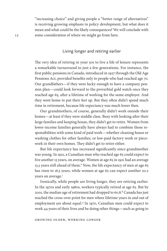"increasing choice" and giving people a "better range of alternatives" is receiving growing emphasis in policy development, but what does it mean and what could be the likely consequences? We will conclude with some consideration of where we might go from here.

# Living longer and retiring earlier

The very idea of retiring in your 50s to live a life of leisure represents a remarkable turnaround in just a few generations. For instance, the first public pensions in Canada, introduced in 1927 through the Old Age Pensions Act, provided benefits only to people who had reached age 70. Our grandfathers—if they were lucky enough to have a company pension plan—could look forward to the proverbial gold watch once they reached age 65, after a lifetime of working for the same employer. And they went home to put their feet up. But they often didn't spend much time in retirement, because life expectancy was much lower then.

Our grandmothers, of course, generally didn't work outside their homes—at least if they were middle class. Busy with looking after their large families and keeping house, they didn't get to retire. Women from lower-income families generally have always had to combine those responsibilities with some kind of paid work—whether cleaning house or washing clothes for other families, or low-paid factory work or piecework in their own homes. They didn't get to retire either.

But life expectancy has increased significantly since grandmother was young. In 1921, a Canadian man who reached age 65 could expect to live another 13 years, on average. Women at age 65 in 1921 had an average 13.3 years still ahead of them.<sup>6</sup> Now, the life expectancy of men at age 65 has risen to 16.3 years, while women at age 65 can expect another 20.2 years on average.<sup>7</sup>

Ironically, while people are living longer, they are retiring earlier. In the 1970s and early 1980s, workers typically retired at age 65. But by 2001, the median age of retirement had dropped to 60.8.8 Canada has just reached the cross-over point for men where lifetime years in and out of employment are about equal.<sup>9</sup> In 1970, Canadian men could expect to work 44 years of their lives and be doing other things—such as going to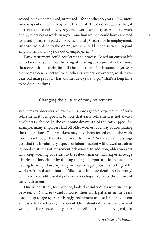school, being unemployed, or retired—for another 26 years. Now, more time is spent out of employment than in it. The OECD suggests that, if current trends continue, by 2030 men would spend 35 years in paid work and 44 years not at work. In 1970, Canadian women could have expected to spend 19 years in paid employment and 58 years not in employment. By 2030, according to the OECD, women could spend 38 years in paid employment and 47 years out of employment.<sup>10</sup>

Early retirement could accelerate the process. Based on current life expectancy, anyone now thinking of retiring at 50 probably has more than one-third of their life still ahead of them. For instance, a 50-year old woman can expect to live another 33.2 years, on average, while a 50 year-old man probably has another 28.5 years to go.<sup>11</sup> That's a long time to be doing nothing.

Changing the culture of early retirement

While many observers believe there is now a general expectation of early retirement, it is important to note that early retirement is not always a voluntary choice. In the economic downturn of the early 1990s, for example, many employers laid off older workers as a way of downsizing their operations. Older workers may have been forced out of the work force even though they did not want to retire.<sup>12</sup> Some researchers suggest that the involuntary aspects of labour market withdrawal are often ignored in studies of retirement behaviour. In addition, older workers who keep working or return to the labour market may experience age discrimination, either by finding their job opportunities reduced, or having to accept lower-quality or lower-waged jobs. Protecting older workers from discrimination (discussed in more detail in Chapter 5) will have to be addressed if policy-makers hope to change the culture of early retirement.

One recent study, for instance, looked at individuals who turned 50 between 1976 and 1979 and followed their work patterns in the years leading up to age 65. Surprisingly, retirement as a self-reported event appeared to be relatively infrequent. Only about 51% of men and 30% of women in the selected age groups had retired from a job by age 65. In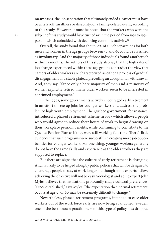many cases, the job separation that ultimately ended a career must have been a layoff, an illness or disability, or a family-related event, according to this study. However, it must be noted that the workers who were the subject of this study would have turned 65 in the period from 1991 to 1994, part of which coincided with declining economic activity.<sup>13</sup>

Overall, the study found that about 60% of all job separations for both men and women in the age groups between 50 and 65 could be classified as involuntary. And the majority of those individuals found another job within 12 months. The authors of this study also say that the high rates of job change experienced within these age groups contradict the view that careers of older workers are characterized as either a process of gradual disengagement or a stable plateau preceding an abrupt final withdrawal. And, they say, "Since only a bare majority of men and a minority of women explicitly retired, many older workers seem to be interested in continued employment."

In the 1990s, some governments actively encouraged early retirement in an effort to free up jobs for younger workers and address the problem of high youth employment. The Quebec government, for instance, introduced a phased retirement scheme in 1997 which allowed people who would agree to reduce their hours of work to begin drawing on their workplace pension benefits, while continuing to contribute to the Quebec Pension Plan as if they were still working full-time. There's little evidence that such programs were successful in creating more job opportunities for younger workers. For one thing, younger workers generally do not have the same skills and experience as the older workers they are supposed to replace.

But there are signs that the culture of early retirement is changing. And it's likely to be helped along by public policies that will be designed to encourage people to stay at work longer—although some experts believe achieving the objective will not be easy. Sociologist and aging expert John Myles believes that institutions profoundly shape cultural preferences. "Once established," says Myles, "the expectation that 'normal retirement' occurs at age 55 or 60 may be extremely difficult to change."<sup>14</sup>

Nevertheless, phased retirement programs, intended to ease older workers out of the work force early, are now being abandoned. Sweden, one of the best-known practitioners of this type of policy, has dropped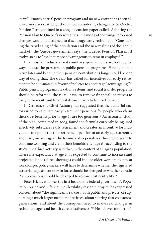its well-known partial pension program and no new entrant has been allowed since 2000. And Quebec is now considering changes to the Quebec Pension Plan, outlined in a 2003 discussion paper called "Adapting the Pension Plan to Quebec's new realties."<sup>15</sup> Among other things, proposed changes would be designed to discourage early retirement. "Considering the rapid aging of the population and the new realities of the labour market," the Quebec government says, the Quebec Pension Plan must evolve so as to "make it more advantageous to remain employed."

In almost all industrialized countries, governments are looking for ways to ease the pressure on public pension programs. Having people retire later and keep up their pension contributions longer could be one way of doing that. The OECD has called for incentives for early retirement to be eliminated in favour of policies to encourage "active ageing."<sup>16</sup> Public pension programs, taxation systems, and social transfer programs should be reformed, the OECD says, to remove financial incentives to early retirement, and financial disincentives to later retirement.

In Canada, the Chief Actuary has suggested that the actuarial factors used to calculate early retirement pensions for people who claim their CPP benefits prior to age 65 are too generous.<sup>17</sup> An actuarial study of the plan, completed in 2003, found the formula currently being used effectively subsidizes early retirement and creates an incentive for individuals to opt for the CPP retirement pension at an early age (currently about 62, on average). The formula also penalizes those who want to continue working and claim their benefits after age 65, according to the study. The Chief Actuary said that, in the context of an aging population, where life expectancy at age 65 is expected to continue to increase and projected labour force shortages could induce older workers to stay at work longer, policy-makers will have to determine whether the legislated actuarial adjustment now in force should be changed or whether certain Plan provisions should be changed to restore cost neutrality.<sup>18</sup>

Peter Hicks, who was the first head of the federal government's Population Aging and Life-Course Flexibility research project, has expressed concern about "the significant real cost, both public and private, of supporting a much larger number of retirees, about sharing that cost across generations, and about the consequent need to make real changes in retirement ages and health care effectiveness."19 He believes tomorrow's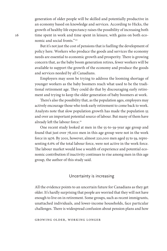generation of older people will be skilled and potentially productive in an economy based on knowledge and services. According to Hicks, the growth of healthy life expectancy raises the possibility of increasing both time spent in work and time spent in leisure, with gains on both economic and social fronts." <sup>20</sup>

But it's not just the cost of pensions that is fuelling the development of policy here. Workers who produce the goods and services the economy needs are essential to economic growth and prosperity. There is growing concern that, as the baby boom generation retires, fewer workers will be available to support the growth of the economy and produce the goods and services needed by all Canadians.

Employers may soon be trying to address the looming shortage of younger workers as the baby boomers reach what used to be the traditional retirement age. They could do that by discouraging early retirement and trying to keep the older generation of baby boomers at work.

There's also the possibility that, as the population ages, employers may actively encourage those who took early retirement to come back to work. Analysts note that slow population growth has made the population 55 and over an important potential source of labour. But many of them have already left the labour force.<sup>21</sup>

One recent study looked at men in the 55-to-59-year age group and found that just over 78,000 men in this age group were not in the work force in 1976. By 2001, however, almost 220,000 men aged 55 to 59, representing 6.6% of the total labour force, were not active in the work force. The labour market would lose a wealth of experience and potential economic contribution if inactivity continues to rise among men in this age group, the author of this study said.

# Uncertainty is increasing

All the evidence points to an uncertain future for Canadians as they get older. It's hardly surprising that people are worried that they will not have enough to live on in retirement. Some groups, such as recent immigrants, unattached individuals, and lower-income households, face particular challenges. There is widespread confusion about pension plans and how

Growing Older, Working Longer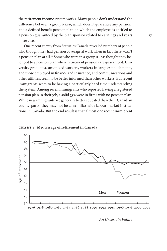the retirement income system works. Many people don't understand the difference between a group RRSP, which doesn't guarantee any pension, and a defined benefit pension plan, in which the employee is entitled to a pension guaranteed by the plan sponsor related to earnings and years of service.

One recent survey from Statistics Canada revealed numbers of people who thought they had pension coverage at work when in fact there wasn't a pension plan at all.<sup>22</sup> Some who were in a group RRSP thought they belonged to a pension plan where retirement pensions are guaranteed. University graduates, unionized workers, workers in large establishments, and those employed in finance and insurance, and communications and other utilities, seem to be better informed than other workers. But recent immigrants seem to be having a particularly hard time understanding the system. Among recent immigrants who reported having a registered pension plan in their job, a solid 53% were in firms with no pension plan. While new immigrants are generally better educated than their Canadian counterparts, they may not be as familiar with labour market institutions in Canada. But the end result is that almost one recent immigrant



#### **chart 1 Median age of retirement in Canada**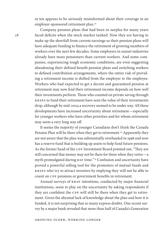in ten appears to be seriously misinformed about their coverage in an employer-sponsored retirement plan.<sup>23</sup>

Company pension plans that had been in surplus for many years faced deficits when the stock market tanked. Now they are having to make up the shortfall from current earnings so their pension plans will have adequate funding to finance the retirement of growing numbers of workers over the next few decades. Some employers in sunset industries already have more pensioners than current workers. And some companies, experiencing tough economic conditions, are even suggesting abandoning their defined benefit pension plans and switching workers to defined contribution arrangements, where the entire risk of providing a retirement income is shifted from the employer to the employee. Workers who had expected to get a decent and guaranteed pension at retirement may now find their retirement income depends on how well their investments perform. Those who counted on private saving through RRSPs to fund their retirement have seen the value of their investments drop, although by mid-2004 a recovery seemed to be under way. All these developments have increased uncertainty about retirement—especially for younger workers who have other priorities and for whom retirement may seem a very long way off.

It seems the majority of younger Canadians don't think the Canada Pension Plan will be there when they get to retirement.<sup>24</sup> Apparently they are not aware that the plan was substantially overhauled in 1998 and now has a reserve fund that is building up assets to help fund future pensions. As the former head of the CPP Investment Board pointed out, "They are still concerned that money may not be there for them when they retire—a myth promulgated during RSP time."<sup>25</sup> Confusion and uncertainty have proved a powerful selling tool for the promoters of mutual funds and RRSPs who try to attract investors by implying they will not be able to count on CPP pensions or government benefits in retirement.

Annual surveys of RRSP intentions, conducted by major financial institutions, seem to play on the uncertainty by asking respondents if they are confident the CPP will still be there when they get to retirement. Given the abysmal lack of knowledge about the plan and how it is funded, it is not surprising that so many express doubts. One recent survey by a major bank revealed that more than half of Canada's Generation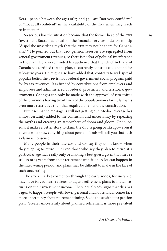Xers—people between the ages of 25 and 39—are "not very confident" or "not at all confident" in the availability of the CPP when they reach retirement<sup>26</sup>

So serious has the situation become that the former head of the CPP Investment Board had to call on the financial services industry to help "dispel the unsettling myth that the CPP may not be there for Canadians."<sup>27</sup> He pointed out that CPP pension reserves are segregated from general government revenues, so there is no fear of political interference in the plan. He also reminded his audience that the Chief Actuary of Canada has certified that the plan, as currently constituted, is sound for at least 75 years. He might also have added that, contrary to widespread popular belief, the CPP is not a federal government social program paid for by tax revenues. It is funded by contributions from employers and employees and administered by federal, provincial, and territorial governments. Changes can only be made with the approval of two-thirds of the provinces having two-thirds of the population—a formula that is even more restrictive than that required to amend the constitution.

But it seems the message is still not getting out. Media coverage has almost certainly added to the confusion and uncertainty by repeating the myths and creating an atmosphere of doom and gloom. Undoubtedly, it makes a better story to claim the CPP is going bankrupt—even if anyone who knows anything about pension funds will tell you that such a claim is nonsense.

Many people in their late 40s and 50s say they don't know when they're going to retire. But even those who say they plan to retire at a particular age may really only be making a best guess, given that they're still 10 or 15 years from their retirement transition. A lot can happen in the intervening period, and plans may be difficult to make in the face of such uncertainty.

The stock market correction through the early 2000s, for instance, may have forced near-retirees to adjust retirement plans to match returns on their investment income. There are already signs that this has begun to happen. People with lower personal and household incomes face more uncertainty about retirement timing. So do those without a pension plan. Greater uncertainty about planned retirement is more prevalent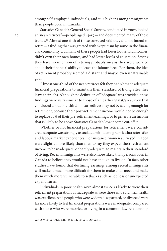among self-employed individuals, and it is higher among immigrants than people born in Canada.

Statistics Canada's General Social Survey, conducted in 2002, looked at "near-retirees"—people aged 45–59—and documented many of these trends.<sup>28</sup> Almost one-fifth of those surveyed said they did not intend to retire—a finding that was greeted with skepticism by some in the financial community. But many of these people had lower household incomes, didn't own their own homes, and had lower levels of education. Saying they have no intention of retiring probably means they were worried about their financial ability to leave the labour force. For them, the idea of retirement probably seemed a distant and maybe even unattainable goal.

Almost one-third of the near-retirees felt they hadn't made adequate financial preparations to maintain their standard of living after they leave their jobs. Although no definition of "adequate" was provided, these findings were very similar to those of an earlier StatsCan survey that concluded about one-third of near-retirees may not be saving enough for retirement, because their post-retirement income would not be enough to replace 70% of their pre-retirement earnings, or to generate an income that is likely to be above Statistics Canada's low-income cut-off.<sup>29</sup>

Whether or not financial preparations for retirement were considered adequate was strongly associated with demographic characteristics and labour market experiences. For instance, women surveyed in 2002 were slightly more likely than men to say they expect their retirement income to be inadequate, or barely adequate, to maintain their standard of living. Recent immigrants were also more likely than persons born in Canada to believe they would not have enough to live on. In fact, other studies have found that declining earnings among recent immigrants will make it much more difficult for them to make ends meet and make them much more vulnerable to setbacks such as job loss or unexpected expenditures.

Individuals in poor health were almost twice as likely to view their retirement preparations as inadequate as were those who said their health was excellent. And people who were widowed, separated, or divorced were far more likely to feel financial preparations were inadequate, compared with those who were married or living in a common-law relationship.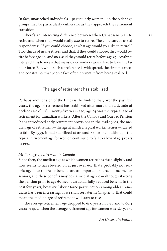In fact, unattached individuals—particularly women—in the older age groups may be particularly vulnerable as they approach the retirement transition.

There's an interesting difference between when Canadians plan to retire and when they would really *like* to retire. The 2002 survey asked respondents: "If you could choose, at what age would you like to retire?" Two-thirds of near-retirees said that, if they could choose, they would retire before age 60, and 88% said they would retire before age 65. Analysts interpret this to mean that many older workers would like to leave the labour force. But, while such a preference is widespread, the circumstances and constraints that people face often prevent it from being realized.

# The age of retirement has stabilized

Perhaps another sign of the times is the finding that, over the past few years, the age of retirement has stabilized after more than a decade of decline (*see chart*)*.* Twenty-five years ago, age 65 was the typical age of retirement for Canadian workers. After the Canada and Quebec Pension Plans introduced early retirement provisions in the mid-1980s, the median age of retirement—the age at which a typical worker retires—started to fall. By 1993, it had stabilized at around 62 for men, although the typical retirement age for women continued to fall to a low of 59.4 years in 1997.

#### *Median age of retirement in Canada*

Since then, the median age at which women retire has risen slightly and now seems to have leveled off at just over 60. That's probably not surprising, since CPP/QPP benefits are an important source of income for seniors, and these benefits may be claimed at age 60—although starting the pension prior to age 65 means an actuarially-reduced benefit. In the past few years, however, labour force participation among older Canadians has been increasing, as we shall see later in Chapter 5. That could mean the median age of retirement will start to rise.

The average retirement age dropped to 61.0 years in 1989 and to 60.4 years in 1994, when the average retirement age for women was 58.5 years,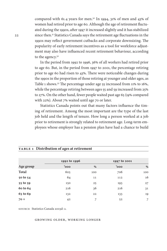compared with 61.4 years for men.<sup>30</sup> In 1994, 31% of men and 43% of women had retired prior to age 60. Although the age of retirement fluctuated during the 1990s, after 1997 it increased slightly and it has stabilized since then.<sup>31</sup> Statistics Canada says the retirement age fluctuations in the 1990s may reflect government cutbacks and corporate downsizing. The popularity of early retirement incentives as a tool for workforce adjustment may also have influenced recent retirement behaviour, according to the agency.<sup>32</sup>

In the period from 1992 to 1996, 36% of all workers had retired prior to age 60. But, in the period from 1997 to 2001, the percentage retiring prior to age 60 had risen to 43%. There were noticeable changes during the 1990s in the proportion of those retiring at younger and older ages, as Table 1 shows.<sup>33</sup> The percentage under age 55 increased from 11% to 16%, while the percentage retiring between ages 55 and 59 increased from 25% to 27%. On the other hand, fewer people waited past age 65 (19% compared with 22%). About 7% waited until age 70 or later.

Statistics Canada points out that many factors influence the timing of retirement. Among the most important are the type of the last job held and the length of tenure. How long a person worked at a job prior to retirement is strongly related to retirement age. Long-term employees whose employer has a pension plan have had a chance to build

|           | 1992 to 1996 |      | 1997 to 2001 |      |
|-----------|--------------|------|--------------|------|
| Age group | 000'         | $\%$ | '000'        | $\%$ |
| Total     | 605          | 100  | 706          | 100  |
| 50 to 54  | 64           | 11   | 112          | 16   |
| 55 to 59  | 150          | 25   | 193          | 27   |
| 60 to 64  | 216          | 36   | 216          | 31   |
| 65 to 69  | 132          | 22   | 133          | 19   |
| $70+$     | 42           | 7    | 52           | 7    |

### **Table 1 Distribution of ages at retirement**

Source Statistics Canada 2003d: 2.

#### Growing Older, Working Longer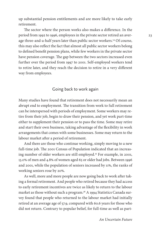up substantial pension entitlements and are more likely to take early retirement.

The sector where the person works also makes a difference. In the period from 1992 to 1996, employees in the private sector retired an average three-and-a-half years later than public sector workers.<sup>34</sup> Of course, this may also reflect the fact that almost all public sector workers belong to defined benefit pension plans, while few workers in the private sector have pension coverage. The gap between the two sectors increased even further over the period from 1997 to 2001. Self-employed workers tend to retire later, and they reach the decision to retire in a very different way from employees.

# Going back to work again

Many studies have found that retirement does not necessarily mean an abrupt end to employment. The transition from work to full retirement can be interspersed with periods of employment. Some workers may retire from their job, begin to draw their pension, and yet work part-time either to supplement their pension or to pass the time. Some may retire and start their own business, taking advantage of the flexibility in work arrangements that comes with some businesses. Some may return to the labour market after a period of retirement.

And there are those who continue working, simply moving to a new full-time job. The 2001 Census of Population indicated that an increasing number of older workers are still employed.<sup>35</sup> For example, in 2001, 13.0% of men and 4.8% of women aged 65 or older had jobs. Between 1996 and 2001, while the population of seniors increased by 11%, the ranks of working seniors rose by 20%.

As well, more and more people are now going back to work after taking a formal retirement. And people who retired because they had access to early retirement incentives are twice as likely to return to the labour market as those without such a program.<sup>36</sup> A 1994 Statistics Canada survey found that people who returned to the labour market had initially retired at an average age of 57.9, compared with 60.6 years for those who did not return. Contrary to popular belief, for full-time as well as part-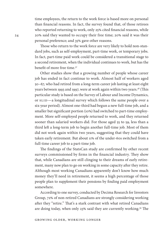time employees, the return to the work force is based more on personal than financial reasons. In fact, the survey found that, of those retirees who reported returning to work, only 25% cited financial reasons, while 20% said they wanted to occupy their free time; 20% said it was their personal preference; and 35% gave other reasons.

Those who return to the work force are very likely to hold non-standard jobs, such as self-employment, part-time work, or temporary jobs. In fact, part-time paid work could be considered a transitional stage to a second retirement, when the individual continues to work, but has the benefit of more free time<sup>37</sup>

Other studies show that a growing number of people whose career job has ended in fact continue to work. Almost half of workers aged 50–67, who had retired from a long-term career job lasting at least eight years between 1993 and 1997, were at work again within two years.<sup>38</sup> (This particular study is based on the Survey of Labour and Income Dynamics, or SLID—a longitudinal survey which follows the same people over a six-year period). Almost one-third had begun a new full-time job, and a smaller but significant portion (10%) had switched to part-time employment. More self-employed people returned to work, and they returned sooner than salaried workers did. For those aged 55 to 59, less than a third left a long-term job to begin another full-time job. Most of them did not work again within two years, suggesting that they could have taken early retirement. But about 11% of the under-60s switched from a full-time career job to a part-time job.

The findings of the StatsCan study are confirmed by other recent surveys commissioned by firms in the financial industry. They show that, while Canadians are still clinging to their dreams of early retirement, many now plan to go on working in some capacity after they retire. Although most working Canadians apparently don't know how much money they'll need in retirement, it seems a high percentage of those people plan to supplement their pensions by finding paid employment somewhere.

According to one survey, conducted by Decima Research for Investors Group, 72% of non-retired Canadians are strongly considering working after they "retire." That's a stark contrast with what retired Canadians are doing today, when only 23% said they are currently working.<sup>39</sup> The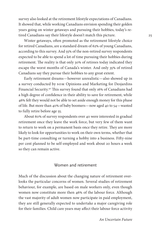survey also looked at the retirement lifestyle expectations of Canadians. It showed that, while working Canadians envision spending their golden years going on winter getaways and pursuing their hobbies, today's retired Canadians say their lifestyle doesn't match this picture.

Winter getaways, often promoted as the retirement lifestyle choice for retired Canadians, are a standard dream of 62% of young Canadians, according to this survey. And 55% of the non-retired survey respondents expected to be able to spend a lot of time pursuing their hobbies during retirement. The reality is that only 30% of retirees today indicated they escape the worst months of Canada's winter. And only 35% of retired Canadians say they pursue their hobbies to any great extent.

Early retirement dreams—however unrealistic—also showed up in a survey conducted by SOM Opinions and Marketing for Desjardins Financial Security.<sup>40</sup> This survey found that only 16% of Canadians had a high degree of confidence in their ability to save for retirement, while 46% felt they would not be able to set aside enough money for this phase of life. But more than 40% of baby boomers—now aged 40 to 54—wanted to fully retire before age 55.

About 60% of survey respondents over 40 were interested in gradual retirement once they leave the work force, but very few of them want to return to work on a permanent basis once they retire. They are more likely to look for opportunities to work on their own terms, whether that be part-time consulting or turning a hobby into a business. Fifty-nine per cent planned to be self-employed and work about 20 hours a week so they can remain active.

## Women and retirement

Much of the discussion about the changing nature of retirement overlooks the particular concerns of women. Several studies of retirement behaviour, for example, are based on male workers only, even though women now constitute more then 46% of the labour force. Although the vast majority of adult women now participate in paid employment, they are still generally expected to undertake a major caregiving role for their families. Child care years may affect their labour force activity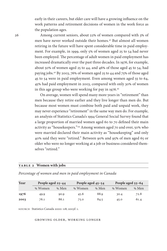early in their careers, but elder care will have a growing influence on the work patterns and retirement decisions of women in the work force as the population ages.

Among current seniors, about 22% of women compared with 3% of men have never worked outside their homes.<sup>41</sup> But almost all women retiring in the future will have spent considerable time in paid employment. For example, in 1999, only 5% of women aged 25 to 54 had never been employed. The percentage of adult women in paid employment has increased dramatically over the past three decades. In 1976, for example, about 50% of women aged 25 to 44, and 46% of those aged 45 to 54, had paying jobs.<sup>42</sup> By 2003, 76% of women aged 25 to 44 and 75% of those aged 45 to 54 were in paid employment. Even among women aged 55 to 64, 45% had paid employment in 2003, compared with only 30% of women in this age group who were working for pay in 1976.<sup>43</sup>

On average, women will spend many more years in "retirement" than men because they retire earlier and they live longer than men do. But because most women must combine both paid and unpaid work, they may never experience "retirement" in the same way men do. For example, an analysis of Statistics Canada's 1994 General Social Survey found that a large proportion of married women aged 60 to 70 defined their main activity as "housekeepers."<sup>44</sup> Among women aged 70 and over, 50% who were married declared their main activity as "housekeeping" and only 40% said they were "retired." Between 90% and 95% of men aged 65 or older who were no longer working at a job or business considered themselves "retired."

| Year | People aged $25-44$ |       | People aged 45-54 |       | People aged 55-64 |       |  |
|------|---------------------|-------|-------------------|-------|-------------------|-------|--|
|      | % Women             | % Men | % Women           | % Men | % Women           | % Men |  |
| 1976 | 49.9                | 90.9  | 45.6              | 88.9  | 30.4              | 72.8  |  |
| 2003 | 76.1                | 86.1  | 75.0              | 84.5  | 45.0              | 61.4  |  |

**Table 2 Women with jobs**

*Percentage of women and men in paid employment in Canada*

Source Statistics Canada 2000: 118; 2003f: 1.

Growing Older, Working Longer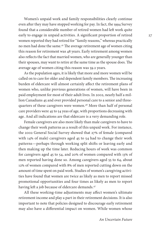Women's unpaid work and family responsibilities clearly continue even after they may have stopped working for pay. In fact, the 1994 Survey found that a considerable number of retired women had left work quite early to engage in unpaid activities. A significant proportion of retired women reported they had retired for "family reasons," whereas practically no men had done the same.<sup>45</sup> The average retirement age of women citing this reason for retirement was 48 years. Early retirement among women also reflects the fact that married women, who are generally younger than their spouses, may want to retire at the same time as the spouse does. The average age of women citing this reason was 59.2 years.

As the population ages, it is likely that more and more women will be called on to care for older and dependent family members. The increasing burden of eldercare will almost certainly affect the retirement plans of women who, unlike previous generations of women, will have been in paid employment for most of their adult lives. In 2002, nearly half a million Canadians 45 and over provided personal care to a senior and threequarters of these caregivers were women.<sup>46</sup> More than half of personal care providers were 45 to 54 yeas of age, with proportions decreasing with age. And all indications are that eldercare is a very demanding role.

Female caregivers are also more likely than male caregivers to have to change their work patterns as a result of this unpaid work. For instance, the 2002 General Social Survey showed that 27% of female (compared with 14% of male) caregivers aged 45 to 54 had to change their work patterns—perhaps through working split shifts or leaving early and then making up the time later. Reducing hours of work was common for caregivers aged 45 to 54, and 20% of women compared with 13% of men reported having done so. Among caregivers aged 55 to 64, about 12% of women compared with 8% of men reported cutting down on the amount of time spent on paid work. Studies of women's caregiving activities have found that women are twice as likely as men to report missed promotional opportunities and four times as likely as men to report having left a job because of eldercare demands.<sup>47</sup>

All these working-time adjustments may affect women's ultimate retirement income and play a part in their retirement decisions. It is also important to note that policies designed to discourage early retirement may also have a differential impact on women. While women whose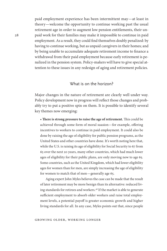paid employment experience has been intermittent may—at least in theory—welcome the opportunity to continue working past the usual retirement age in order to augment low pension entitlements, their unpaid work for their families may make it impossible to continue in paid employment. As a result, they could find themselves doubly penalized: by having to continue working, but as unpaid caregivers in their homes; and by being unable to accumulate adequate retirement income to finance a withdrawal from their paid employment because early retirement is penalized in the pension system. Policy-makers will have to give special attention to these issues in any redesign of aging and retirement policies.

# What is on the horizon?

Major changes in the nature of retirement are clearly well under way. Policy development now in progress will reflect those changes and probably try to put a positive spin on them. It is possible to identify several key themes now emerging:

• **There is strong pressure to raise the age of retirement.** This could be achieved through some form of moral suasion—for example, offering incentives to workers to continue in paid employment. It could also be done by raising the age of eligibility for public pension programs, as the United States and other countries have done. It's worth noting here that, while the U.S. is raising its age of eligibility for Social Security to 67 from 65 over the next 20 years, many other countries, which had much lower ages of eligibility for their public plans, are only moving now to age 65. Some countries, such as the United Kingdom, which had lower eligibility ages for women than for men, are simply increasing the age of eligibility for women to match that of men—generally age 65.

Aging expert John Myles believes the case can be made that the result of later retirement may be more benign than its alternative: reduced living standards for retirees and workers.<sup>48</sup> If the market is able to generate sufficient employment to absorb older workers and raise total employment levels, a potential payoff is greater economic growth and higher living standards for all. In any case, Myles points out that, since people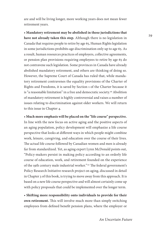are and will be living longer, more working years does not mean fewer retirement years.

• **Mandatory retirement may be abolished in those jurisdictions that have not already taken this step.** Although there is no legislation in Canada that requires people to retire by age 65, Human Rights legislation in some jurisdictions prohibits age discrimination only up to age 65. As a result, human resources practices of employers, collective agreements, or pension plan provisions requiring employees to retire by age 65 do not contravene such legislation. Some provinces in Canada have already abolished mandatory retirement, and others are thinking of doing so. However, the Supreme Court of Canada has ruled that, while mandatory retirement contravenes the equality provisions of the Charter of Rights and Freedoms, it is saved by Section 1 of the Charter because it is "a reasonable limitation" in a free and democratic society.<sup>49</sup> Abolition of mandatory retirement is highly controversial and raises a number of issues relating to discrimination against older workers. We will return to this issue in Chapter 4.

• **Much more emphasis will be placed on the "life course" perspective.** In line with the new focus on active aging and the positive aspects of an aging population, policy development will emphasize a life course perspective that looks at different ways in which people might combine work, leisure, caregiving, and education over the course of their lives. The actual life course followed by Canadian women and men is already far from standardized. Yet, as aging expert Lynn McDonald points out, "Policy-makers persist in making policy according to an orderly life course of education, work, and retirement founded on the experience of the 19th century male industrial worker." <sup>50</sup> The federal government's Policy Research Initiative research project on aging, discussed in detail in Chapter 3 of this book, is trying to move away from this approach. It is based on a new life course perspective and will almost certainly come up with policy proposals that could be implemented over the longer term.

• **Shifting more responsibility onto individuals to provide for their own retirement.** This will involve much more than simply switching employees from defined benefit pension plans, where the employer or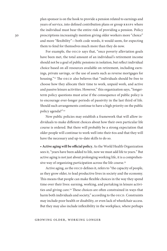plan sponsor is on the hook to provide a pension related to earnings and years of service, into defined contribution plans or group RRSPs where the individual must bear the entire risk of providing a pension. Policy prescriptions increasingly mention giving older workers more "choice" and more "flexibility"—both code words, it would seem, for expecting them to fend for themselves much more than they do now.

For example, the OECD says that, "once poverty alleviation goals have been met, the total amount of an individual's retirement income should not be a goal of public pensions in isolation, but reflect individual choice based on all resources available on retirement, including earnings, private savings, or the use of assets such as reverse mortgages for housing."<sup>51</sup> The OECD also believes that "individuals should be free to choose how they allocate their time to work, unpaid work, and active and passive leisure activities. However," this organization says, "longerterm policy questions must arise if the consequence of public policy is to encourage ever-longer periods of passivity in the last third of life. Should such arrangements continue to have a high priority on the public policy agenda?"<sup>52</sup>

New public policies may establish a framework that will allow individuals to make different choices about how their own particular life course is ordered. But there will probably be a strong expectation that older people will continue to work well into their 60s and that they will have the necessary and up-to-date skills to do so.

• **Active aging will be official policy.** As the World Health Organization sees it, "years have been added to life, now we must add life to years." But active aging is not just about prolonging working life, it is a comprehensive way of organizing participation across the life course.<sup>53</sup>

Active aging, as the OECD defines it, refers to "the capacity of people, as they grow older, to lead productive lives in society and the economy. This means that people can make flexible choices in the way they spend time over their lives: earning, working, and partaking in leisure activities and giving care.<sup>54</sup> These choices are often constrained in ways that harm both individuals and society," according to the OECD. Constraints may include poor health or disability, or even lack of wheelchair access. But they may also include inflexibility in the workplace, where perhaps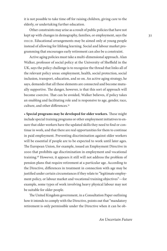it is not possible to take time off for raising children, giving care to the elderly, or undertaking further education.

Other constraints may arise as a result of public policies that have not kept up with changes in demography, families, or employment, says the OECD. Educational arrangements may be aimed only at young people instead of allowing for lifelong learning. Social and labour market programming that encourages early retirement can also be a constraint.

Active aging policies must take a multi-dimensional approach. Alan Walker, professor of social policy at the University of Sheffield in the UK, says the policy challenge is to recognize the thread that links all of the relevant policy areas: employment, health, social protection, social inclusion, transport, education, and so on. An active aging strategy, he says, demands that all these elements are connected and become mutually supportive. The danger, however, is that this sort of approach will become coercive. That can be avoided, Walker believes, if policy takes an enabling and facilitating role and is responsive to age, gender, race, culture, and other differences.<sup>55</sup>

• **Special programs may be developed for older workers.** These might include special training programs or other employment initiatives to ensure that older workers have the updated skills they need to find or continue in work, and that there are real opportunities for them to continue in paid employment. Preventing discrimination against older workers will be essential if people are to be expected to work until later ages. The European Union, for example, issued an Employment Directive in 2000 that prohibits age discrimination in employment and vocational training.<sup>56</sup> However, it appears it still will not address the problem of pension plans that require retirement at a particular age. According to the Directive, differences in treatment in connection with age may be justified under certain circumstances if they relate to "legitimate employment policy, or labour market and vocational training objectives"—for example, some types of work involving heavy physical labour may not be suitable for older people.

The United Kingdom government, in a Consultation Paper outlining how it intends to comply with the Directive, points out that "mandatory retirement is only permissible under the Directive when it can be ob-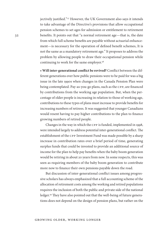jectively justified."<sup>57</sup> However, the UK Government also says it intends to take advantage of the Directive's provisions that allow occupational pension schemes to set ages for admission or entitlement to retirement benefits. It points out that "a normal retirement age—that is, the date from which full scheme benefits are payable without actuarial enhancement—is necessary for the operation of defined benefit schemes, It is not the same as a mandatory retirement age." It proposes to address the problem by allowing people to draw their occupational pension while continuing to work for the same employer.<sup>58</sup>

• **Will inter-generational conflict be revived?** Conflict between the different generations over how public pensions were to be paid for was a big issue in the late 1990s when changes in the Canada Pension Plan were being contemplated. Pay-as-you-go plans, such as the CPP, are financed by contributions from the working age population. But, when the percentage of older people is increasing in relation to those of working age, contributions to these types of plans must increase to provide benefits for increasing numbers of retirees. It was suggested that younger Canadians would resent having to pay higher contributions to the plan to finance growing numbers of retired people.

Changes in the way in which the CPP is funded, implemented in 1998, were intended largely to address potential inter-generational conflict. The establishment of the CPP Investment Fund was made possible by a sharp increase in contribution rates over a brief period of time, generating surplus funds that could be invested to provide an additional source of income for the plan to help pay benefits when the baby boom generation would be retiring in about 20 years from now. In some respects, this was seen as requiring members of the baby boom generation to contribute more now to finance their own pensions payable down the road.

But discussion of inter-generational conflict issues among progressive scholars has always emphasized that a full accounting scheme of the allocation of retirement costs among the working and retired populations requires the inclusion of both the public and private side of the national ledger.59 They have also pointed out that the well-being of future generations does not depend on the design of pension plans, but rather on the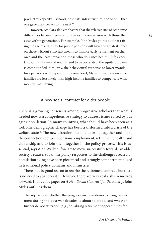productive capacity—schools, hospitals, infrastructure, and so on—that one generation leaves to the next.<sup>60</sup>

However, scholars also emphasize that the relative size of economic differences between generations pales in comparison with those that exist within generations. For example, John Myles points out that raising the age of eligibility for public pensions will have the greatest effect on those without sufficient means to finance early retirement on their own and the least impact on those who do. Since health—life expectancy, disability—and wealth tend to be correlated, the equity problem is compounded. Similarly, the behavioural response to lower mandatory pensions will depend on income level, Myles notes. Low-income families are less likely than high-income families to compensate with more private saving.

# A new social contract for older people

There is a growing consensus among progressive scholars that what is needed now is a comprehensive strategy to address issues raised by our aging population. In many countries, what should have been seen as a welcome demographic change has been transformed into a crisis of the welfare state.<sup>61</sup> The new direction must be to bring together and make the connections between pensions, employment, retirement, health, and citizenship and to join them together in the policy process. This is essential, says Alan Walker, if we are to move successfully towards an older society because, so far, the policy responses to the challenges created by population aging have been piecemeal and strongly compartmentalized in traditional policy domains and ministries.

There may be good reason to rewrite the retirement contract, but there is no need to abandon it.<sup>62</sup> However, there are very real risks in moving forward. In his 2002 paper on *A New Social Contract for the Elderly,* John Myles outlines them:

The key issue is whether the progress made in democratizing retirement during the post-war decades is about to erode, and whether further democratization (e.g., equalizing retirement opportunities for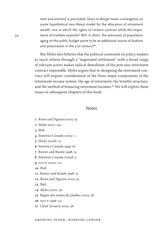men and women) is precluded. Does re-design mean convergence on some hypothetical neo-liberal model for the allocation of retirement wealth, one in which the rights of citizens contract while the importance of markets expands? Will, in short, the pressures of population aging on the public budget prove to be an additional source of dualism and polarization in the 21st century?<sup>63</sup>

But Myles also believes that the political constraint on policy-makers to reach reform through a "negotiated settlement" with a broad range of relevant actors makes radical demolition of the post-war retirement contract impossible. Myles argues that re-designing the retirement contract will require consideration of the three major components of the retirement income system: the age of retirement, the benefits structure, and the method of financing retirement incomes.<sup>64</sup> We will explore these issues in subsequent chapters of this book.

#### **Notes**

- **1** Rowe and Nguyen 2003: 55.
- **2** Myles 2002: 130.
- **3** Ibid.
- **4** Statistics Canada 2003c: 1.
- **5** Hicks 2003b: 12.
- **6** Statistics Canada 1999: 67.
- **7** Baxter and Ramlo 1998: 15.
- **8** Statistics Canada 2003d: 3.
- **9** OECD 2000: 112.
- **10** Ibid.
- **11** Baxter and Ramlo 1998: 15.
- **12** Rowe and Nguyen 2003: 55.
- **13** Ibid.
- **14** Myles 2002: 131.
- **15** Régies des rentes du Québec 2003: 28.
- **16** OECD 1998: 14.
- **17** Chief Actuary 2003: 38.

Growing Older, Working Longer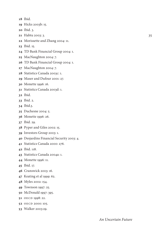Ibid.

Hicks 2003b: 15.

Ibid. 3.

- Habtu 2003: 3.
- Morissette and Zhang 2004: 11.
- Ibid. 15.
- TD Bank Financial Group 2004: 1.
- MacNaughton 2004: 7.
- TD Bank Financial Group 2004: 1.
- MacNaughton 2004: 7.
- Statistics Canada 2003c: 1.
- Maser and Dufour 2001: 27.
- Monette 1996: 16.
- Statistics Canada 2003d: 1.
- Ibid.
- Ibid. 2.
- Ibid.3.
- Duchesne 2004: 5.
- Monette 1996: 26.
- Ibid. 29.
- Pyper and Giles 2002: 15.
- Investors Group 2003: 1.
- Desjardins Financial Security 2003: 4.
- Statistics Canada 2000: 276.
- Ibid. 118.
- Statistics Canada 2004a: 1.
- Monette 1996: 11.
- Ibid. 17.
- Cranswick 2003: 16.
- Keating et al 1999: 62.
- Myles 2002: 154.
- Townson 1997: 25.
- McDonald 1997: 395.
- OECD 1998: 22.
- OECD 2000: 105.
- Walker 2003:29.